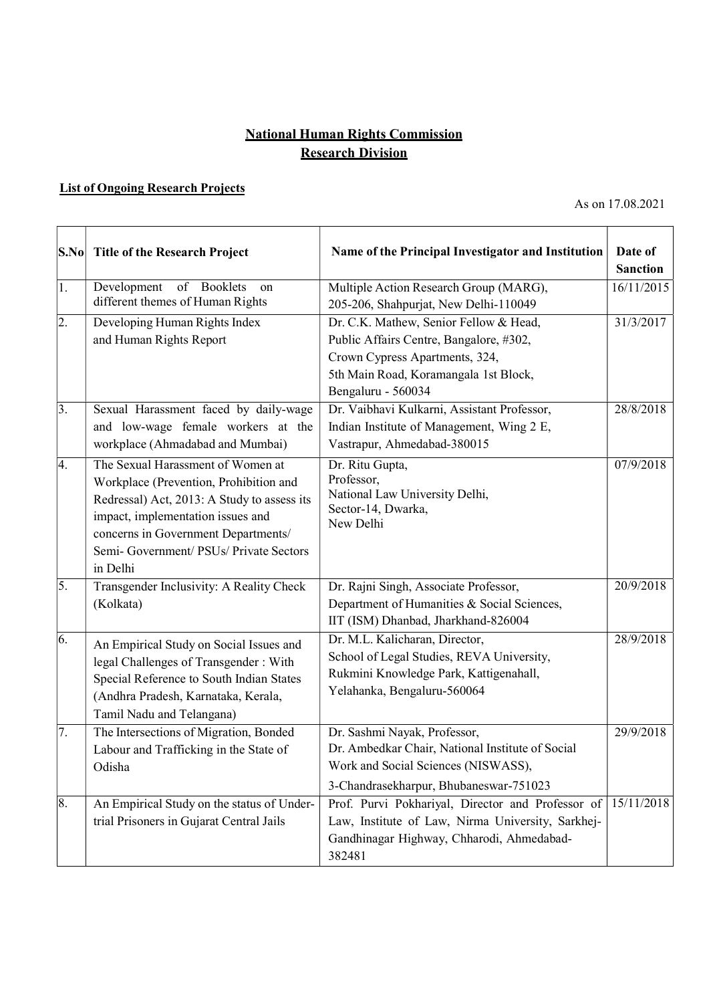## National Human Rights Commission **Research Division**

## List of Ongoing Research Projects

As on 17.08.2021

| S.No             | <b>Title of the Research Project</b>                                                                                                                                                                                                                          | Name of the Principal Investigator and Institution                                                                                                                                 | Date of<br><b>Sanction</b> |
|------------------|---------------------------------------------------------------------------------------------------------------------------------------------------------------------------------------------------------------------------------------------------------------|------------------------------------------------------------------------------------------------------------------------------------------------------------------------------------|----------------------------|
| 1.               | of Booklets<br>Development<br>on<br>different themes of Human Rights                                                                                                                                                                                          | Multiple Action Research Group (MARG),<br>205-206, Shahpurjat, New Delhi-110049                                                                                                    | 16/11/2015                 |
| $\overline{2}$ . | Developing Human Rights Index<br>and Human Rights Report                                                                                                                                                                                                      | Dr. C.K. Mathew, Senior Fellow & Head,<br>Public Affairs Centre, Bangalore, #302,<br>Crown Cypress Apartments, 324,<br>5th Main Road, Koramangala 1st Block,<br>Bengaluru - 560034 | 31/3/2017                  |
| 3.               | Sexual Harassment faced by daily-wage<br>and low-wage female workers at the<br>workplace (Ahmadabad and Mumbai)                                                                                                                                               | Dr. Vaibhavi Kulkarni, Assistant Professor,<br>Indian Institute of Management, Wing 2 E,<br>Vastrapur, Ahmedabad-380015                                                            | 28/8/2018                  |
| 4.               | The Sexual Harassment of Women at<br>Workplace (Prevention, Prohibition and<br>Redressal) Act, 2013: A Study to assess its<br>impact, implementation issues and<br>concerns in Government Departments/<br>Semi- Government/ PSUs/ Private Sectors<br>in Delhi | Dr. Ritu Gupta,<br>Professor,<br>National Law University Delhi,<br>Sector-14, Dwarka,<br>New Delhi                                                                                 | 07/9/2018                  |
| 5.               | Transgender Inclusivity: A Reality Check<br>(Kolkata)                                                                                                                                                                                                         | Dr. Rajni Singh, Associate Professor,<br>Department of Humanities & Social Sciences,<br>IIT (ISM) Dhanbad, Jharkhand-826004                                                        | 20/9/2018                  |
| 6.               | An Empirical Study on Social Issues and<br>legal Challenges of Transgender: With<br>Special Reference to South Indian States<br>(Andhra Pradesh, Karnataka, Kerala,<br>Tamil Nadu and Telangana)                                                              | Dr. M.L. Kalicharan, Director,<br>School of Legal Studies, REVA University,<br>Rukmini Knowledge Park, Kattigenahall,<br>Yelahanka, Bengaluru-560064                               | 28/9/2018                  |
| 7.               | The Intersections of Migration, Bonded<br>Labour and Trafficking in the State of<br>Odisha                                                                                                                                                                    | Dr. Sashmi Nayak, Professor,<br>Dr. Ambedkar Chair, National Institute of Social<br>Work and Social Sciences (NISWASS),<br>3-Chandrasekharpur, Bhubaneswar-751023                  | 29/9/2018                  |
| 8.               | An Empirical Study on the status of Under-<br>trial Prisoners in Gujarat Central Jails                                                                                                                                                                        | Prof. Purvi Pokhariyal, Director and Professor of 15/11/2018<br>Law, Institute of Law, Nirma University, Sarkhej-<br>Gandhinagar Highway, Chharodi, Ahmedabad-<br>382481           |                            |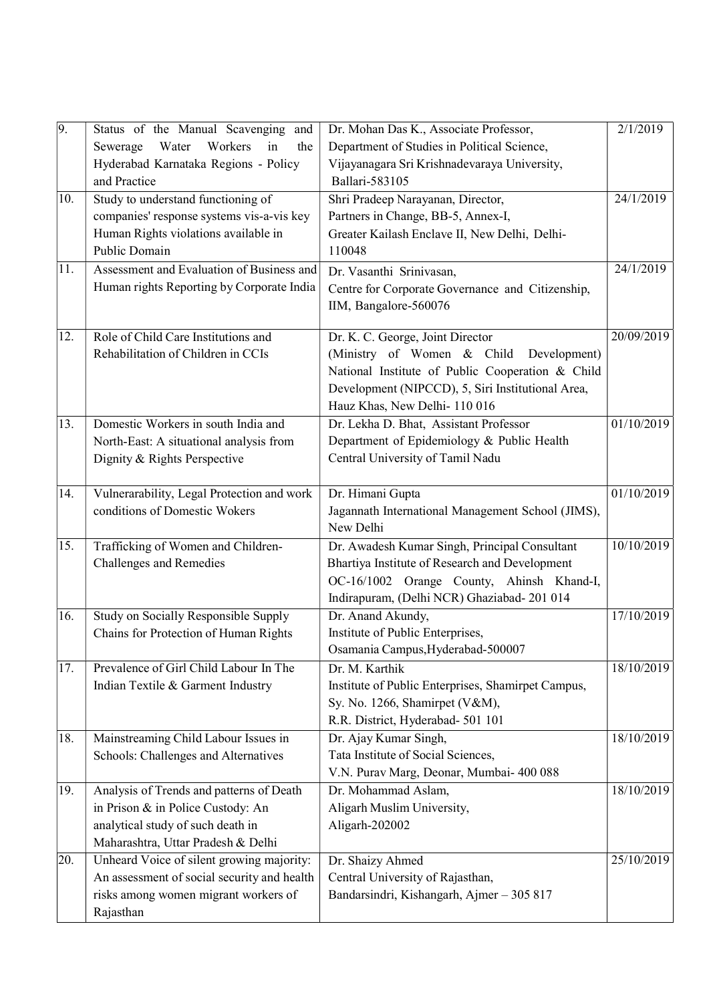| 9.  | Status of the Manual Scavenging and                                          | Dr. Mohan Das K., Associate Professor,                      | 2/1/2019   |
|-----|------------------------------------------------------------------------------|-------------------------------------------------------------|------------|
|     | Workers<br>Water<br>in<br>Sewerage<br>the                                    | Department of Studies in Political Science,                 |            |
|     | Hyderabad Karnataka Regions - Policy                                         | Vijayanagara Sri Krishnadevaraya University,                |            |
|     | and Practice                                                                 | <b>Ballari-583105</b>                                       |            |
| 10. | Study to understand functioning of                                           | Shri Pradeep Narayanan, Director,                           | 24/1/2019  |
|     | companies' response systems vis-a-vis key                                    | Partners in Change, BB-5, Annex-I,                          |            |
|     | Human Rights violations available in                                         | Greater Kailash Enclave II, New Delhi, Delhi-               |            |
|     | Public Domain                                                                | 110048                                                      |            |
| 11. | Assessment and Evaluation of Business and                                    | Dr. Vasanthi Srinivasan,                                    | 24/1/2019  |
|     | Human rights Reporting by Corporate India                                    | Centre for Corporate Governance and Citizenship,            |            |
|     |                                                                              | IIM, Bangalore-560076                                       |            |
| 12. | Role of Child Care Institutions and                                          | Dr. K. C. George, Joint Director                            | 20/09/2019 |
|     | Rehabilitation of Children in CCIs                                           | (Ministry of Women & Child<br>Development)                  |            |
|     |                                                                              | National Institute of Public Cooperation & Child            |            |
|     |                                                                              | Development (NIPCCD), 5, Siri Institutional Area,           |            |
|     |                                                                              | Hauz Khas, New Delhi-110 016                                |            |
| 13. | Domestic Workers in south India and                                          | Dr. Lekha D. Bhat, Assistant Professor                      | 01/10/2019 |
|     | North-East: A situational analysis from                                      | Department of Epidemiology & Public Health                  |            |
|     | Dignity & Rights Perspective                                                 | Central University of Tamil Nadu                            |            |
|     |                                                                              |                                                             |            |
| 14. | Vulnerarability, Legal Protection and work                                   | Dr. Himani Gupta                                            | 01/10/2019 |
|     | conditions of Domestic Wokers                                                | Jagannath International Management School (JIMS),           |            |
|     |                                                                              | New Delhi                                                   |            |
| 15. | Trafficking of Women and Children-                                           | Dr. Awadesh Kumar Singh, Principal Consultant               | 10/10/2019 |
|     | <b>Challenges and Remedies</b>                                               | Bhartiya Institute of Research and Development              |            |
|     |                                                                              | OC-16/1002 Orange County, Ahinsh Khand-I,                   |            |
|     |                                                                              | Indirapuram, (Delhi NCR) Ghaziabad- 201 014                 |            |
| 16. | Study on Socially Responsible Supply                                         | Dr. Anand Akundy,                                           | 17/10/2019 |
|     | Chains for Protection of Human Rights                                        | Institute of Public Enterprises,                            |            |
|     |                                                                              | Osamania Campus, Hyderabad-500007                           |            |
| 17. | Prevalence of Girl Child Labour In The                                       | Dr. M. Karthik                                              | 18/10/2019 |
|     | Indian Textile & Garment Industry                                            | Institute of Public Enterprises, Shamirpet Campus,          |            |
|     |                                                                              | Sy. No. 1266, Shamirpet (V&M),                              |            |
|     |                                                                              | R.R. District, Hyderabad- 501 101                           | 18/10/2019 |
| 18. | Mainstreaming Child Labour Issues in<br>Schools: Challenges and Alternatives | Dr. Ajay Kumar Singh,<br>Tata Institute of Social Sciences, |            |
|     |                                                                              | V.N. Purav Marg, Deonar, Mumbai- 400 088                    |            |
| 19. | Analysis of Trends and patterns of Death                                     | Dr. Mohammad Aslam,                                         | 18/10/2019 |
|     | in Prison & in Police Custody: An                                            | Aligarh Muslim University,                                  |            |
|     | analytical study of such death in                                            | Aligarh-202002                                              |            |
|     | Maharashtra, Uttar Pradesh & Delhi                                           |                                                             |            |
| 20. | Unheard Voice of silent growing majority:                                    | Dr. Shaizy Ahmed                                            | 25/10/2019 |
|     | An assessment of social security and health                                  | Central University of Rajasthan,                            |            |
|     | risks among women migrant workers of                                         | Bandarsindri, Kishangarh, Ajmer - 305 817                   |            |
|     | Rajasthan                                                                    |                                                             |            |
|     |                                                                              |                                                             |            |